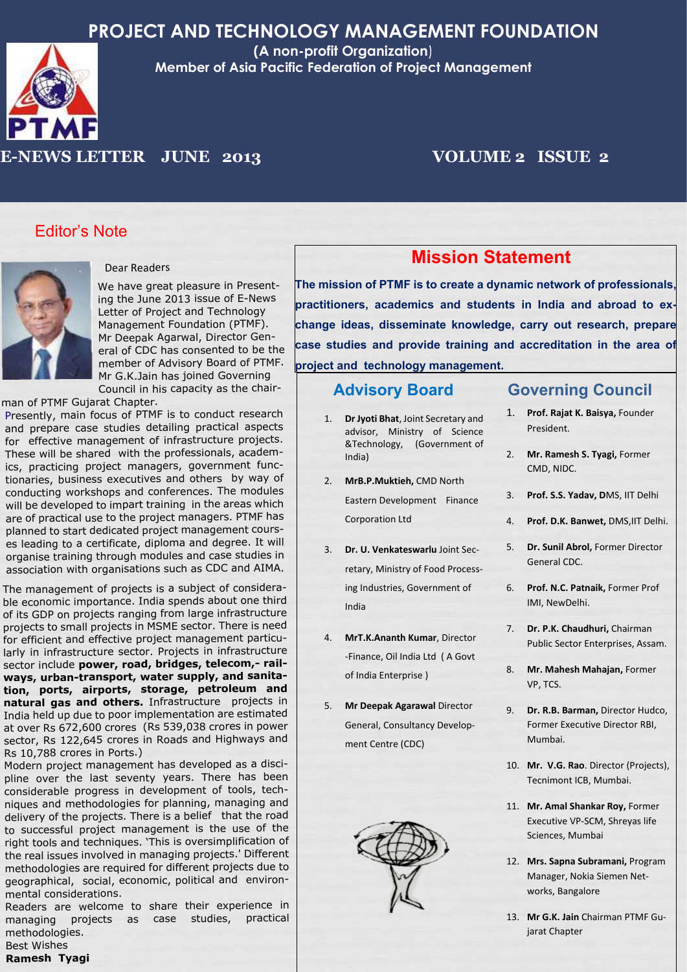

**(A non-profit Organization**) **Member of Asia Pacific Federation of Project Management**

## **E-NEWS LETTER JUNE 2013 VOLUME 2 ISSUE 2**

### Editor's Note



#### Dear Readers

We have great pleasure in Presenting the June 2013 issue of E-News Letter of Project and Technology Management Foundation (PTMF). Mr Deepak Agarwal, Director General of CDC has consented to be the member of Advisory Board of PTMF. Mr G.K.Jain has joined Governing Council in his capacity as the chair-

man of PTMF Gujarat Chapter.

Presently, main focus of PTMF is to conduct research and prepare case studies detailing practical aspects for effective management of infrastructure projects. These will be shared with the professionals, academics, practicing project managers, government functionaries, business executives and others by way of conducting workshops and conferences. The modules will be developed to impart training in the areas which are of practical use to the project managers. PTMF has planned to start dedicated project management courses leading to a certificate, diploma and degree. It will organise training through modules and case studies in association with organisations such as CDC and AIMA.

The management of projects is a subject of considerable economic importance. India spends about one third of its GDP on projects ranging from large infrastructure projects to small projects in MSME sector. There is need for efficient and effective project management particularly in infrastructure sector. Projects in infrastructure sector include **power, road, bridges, telecom,- railways, urban-transport, water supply, and sanitation, ports, airports, storage, petroleum and natural gas and others.** Infrastructure projects in India held up due to poor implementation are estimated at over Rs 672,600 crores (Rs 539,038 crores in power sector, Rs 122,645 crores in Roads and Highways and Rs 10,788 crores in Ports.)

Modern project management has developed as a discipline over the last seventy years. There has been considerable progress in development of tools, techniques and methodologies for planning, managing and delivery of the projects. There is a belief that the road to successful project management is the use of the right tools and techniques. 'This is oversimplification of the real issues involved in managing projects.' Different methodologies are required for different projects due to geographical, social, economic, political and environmental considerations.

Readers are welcome to share their experience in managing projects as case studies, practical methodologies. Best Wishes

#### **Ramesh Tyagi**

## **Mission Statement**

**The mission of PTMF is to create a dynamic network of professionals, practitioners, academics and students in India and abroad to exchange ideas, disseminate knowledge, carry out research, prepare case studies and provide training and accreditation in the area of project and technology management.**

### **Advisory Board**

- 1. **Dr Jyoti Bhat**, Joint Secretary and advisor, Ministry of Science &Technology, (Government of India)
- 2. **MrB.P.Muktieh,** CMD North Eastern Development Finance Corporation Ltd
- 3. **Dr. U. Venkateswarlu** Joint Secretary, Ministry of Food Processing Industries, Government of India
- 4. **MrT.K.Ananth Kumar**, Director -Finance, Oil India Ltd ( A Govt of India Enterprise )
- 5. **Mr Deepak Agarawal** Director General, Consultancy Development Centre (CDC)



## **Governing Council**

- 1. **Prof. Rajat K. Baisya,** Founder President.
- 2. **Mr. Ramesh S. Tyagi,** Former CMD, NIDC.
- 3. **Prof. S.S. Yadav, D**MS, IIT Delhi
- 4. **Prof. D.K. Banwet,** DMS,IIT Delhi.
- 5. **Dr. Sunil Abrol,** Former Director General CDC.
- 6. **Prof. N.C. Patnaik,** Former Prof IMI, NewDelhi.
- 7. **Dr. P.K. Chaudhuri,** Chairman Public Sector Enterprises, Assam.
- 8. **Mr. Mahesh Mahajan,** Former VP, TCS.
- 9. **Dr. R.B. Barman,** Director Hudco, Former Executive Director RBI, Mumbai.
- 10. **Mr. V.G. Rao**. Director (Projects), Tecnimont ICB, Mumbai.
- 11. **Mr. Amal Shankar Roy,** Former Executive VP-SCM, Shreyas life Sciences, Mumbai
- 12. **Mrs. Sapna Subramani,** Program Manager, Nokia Siemen Networks, Bangalore
- 13. **Mr G.K. Jain** Chairman PTMF Gujarat Chapter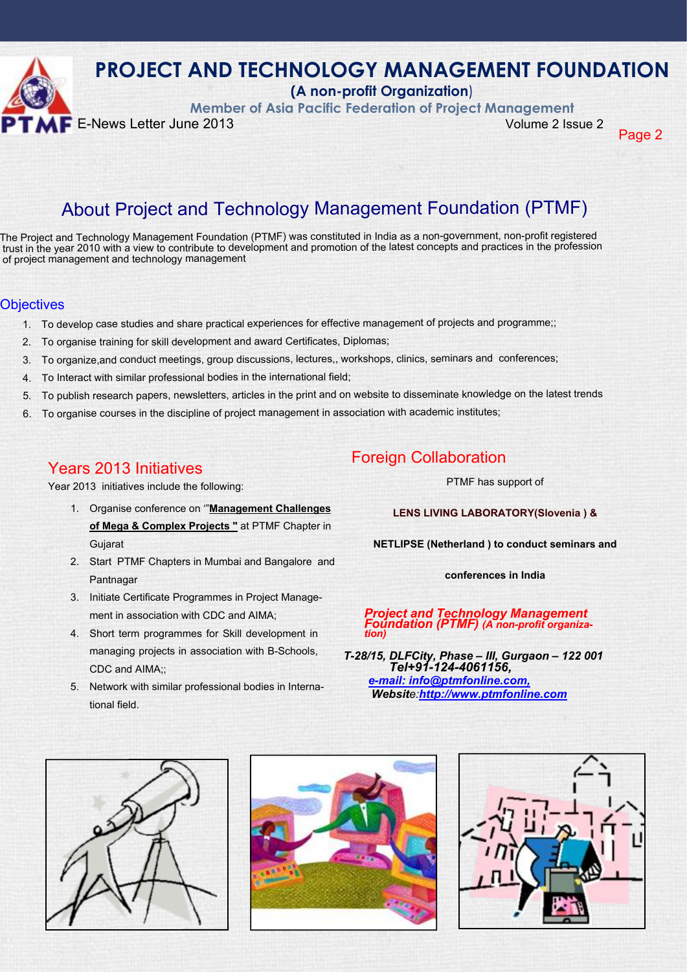

**(A non-profit Organization**)

**Member of Asia Pacific Federation of Project Management**

Page 2

## About Project and Technology Management Foundation (PTMF)

The Project and Technology Management Foundation (PTMF) was constituted in India as a non-government, non-profit registered trust in the year 2010 with a view to contribute to development and promotion of the latest concepts and practices in the profession of project management and technology management

#### Objectives

- 1. To develop case studies and share practical experiences for effective management of projects and programme;;
- 2. To organise training for skill development and award Certificates, Diplomas;
- 3. To organize,and conduct meetings, group discussions, lectures,, workshops, clinics, seminars and conferences;
- 4. To Interact with similar professional bodies in the international field;
- 5. To publish research papers, newsletters, articles in the print and on website to disseminate knowledge on the latest trends
- 6. To organise courses in the discipline of project management in association with academic institutes;

## Years 2013 Initiatives

Year 2013 initiatives include the following:

- 1. Organise conference on '"**Management Challenges of Mega & Complex Projects "** at PTMF Chapter in **Gujarat**
- 2. Start PTMF Chapters in Mumbai and Bangalore and Pantnagar
- 3. Initiate Certificate Programmes in Project Management in association with CDC and AIMA;
- 4. Short term programmes for Skill development in managing projects in association with B-Schools, CDC and AIMA::
- 5. Network with similar professional bodies in International field.

## Foreign Collaboration

PTMF has support of

**LENS LIVING LABORATORY(Slovenia ) &**

**NETLIPSE (Netherland ) to conduct seminars and**

**conferences in India**

*Project and Technology Management Foundation (PTMF) (A non-profit organization)*

*T-28/15, DLFCity, Phase – III, Gurgaon – 122 001 Tel+91-124-4061156, e-mail: info@ptmfonline.com, Website:http://www.ptmfonline.com*





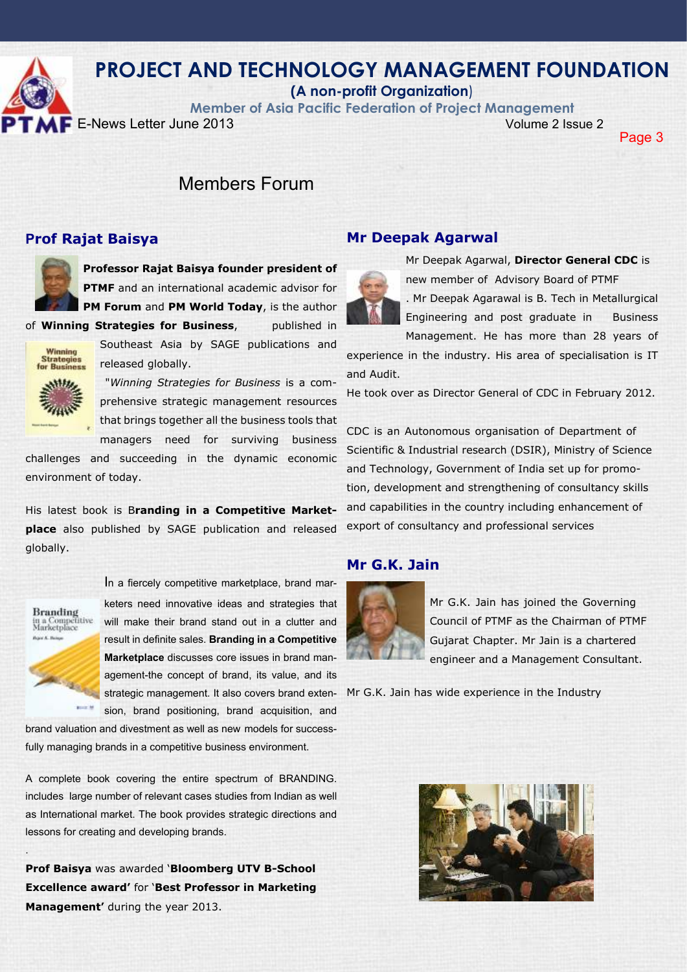

**(A non-profit Organization**)

**Member of Asia Pacific Federation of Project Management**

**E**-News Letter June 2013 Volume 2 Issue 2

Page 3

## Members Forum

### **Prof Rajat Baisya**



**Professor Rajat Baisya founder president of PTMF** and an international academic advisor for **PM Forum** and **PM World Today**, is the author

of **Winning Strategies for Business**, published in



Southeast Asia by SAGE publications and released globally.

 "*Winning Strategies for Business* is a comprehensive strategic management resources that brings together all the business tools that managers need for surviving business

challenges and succeeding in the dynamic economic environment of today.

His latest book is B**randing in a Competitive Marketplace** also published by SAGE publication and released globally.



.

In a fiercely competitive marketplace, brand marketers need innovative ideas and strategies that will make their brand stand out in a clutter and result in definite sales. **Branding in a Competitive Marketplace** discusses core issues in brand management-the concept of brand, its value, and its strategic management. It also covers brand extension, brand positioning, brand acquisition, and

brand valuation and divestment as well as new models for successfully managing brands in a competitive business environment.

A complete book covering the entire spectrum of BRANDING. includes large number of relevant cases studies from Indian as well as International market. The book provides strategic directions and lessons for creating and developing brands.

**Prof Baisya** was awarded '**Bloomberg UTV B-School Excellence award'** for '**Best Professor in Marketing Management'** during the year 2013.

### **Mr Deepak Agarwal**



Mr Deepak Agarwal, **Director General CDC** is new member of Advisory Board of PTMF

. Mr Deepak Agarawal is B. Tech in Metallurgical Engineering and post graduate in Business

Management. He has more than 28 years of

experience in the industry. His area of specialisation is IT and Audit.

He took over as Director General of CDC in February 2012.

CDC is an Autonomous organisation of Department of Scientific & Industrial research (DSIR), Ministry of Science and Technology, Government of India set up for promotion, development and strengthening of consultancy skills and capabilities in the country including enhancement of export of consultancy and professional services

### **Mr G.K. Jain**



Mr G.K. Jain has joined the Governing Council of PTMF as the Chairman of PTMF Gujarat Chapter. Mr Jain is a chartered engineer and a Management Consultant.

Mr G.K. Jain has wide experience in the Industry

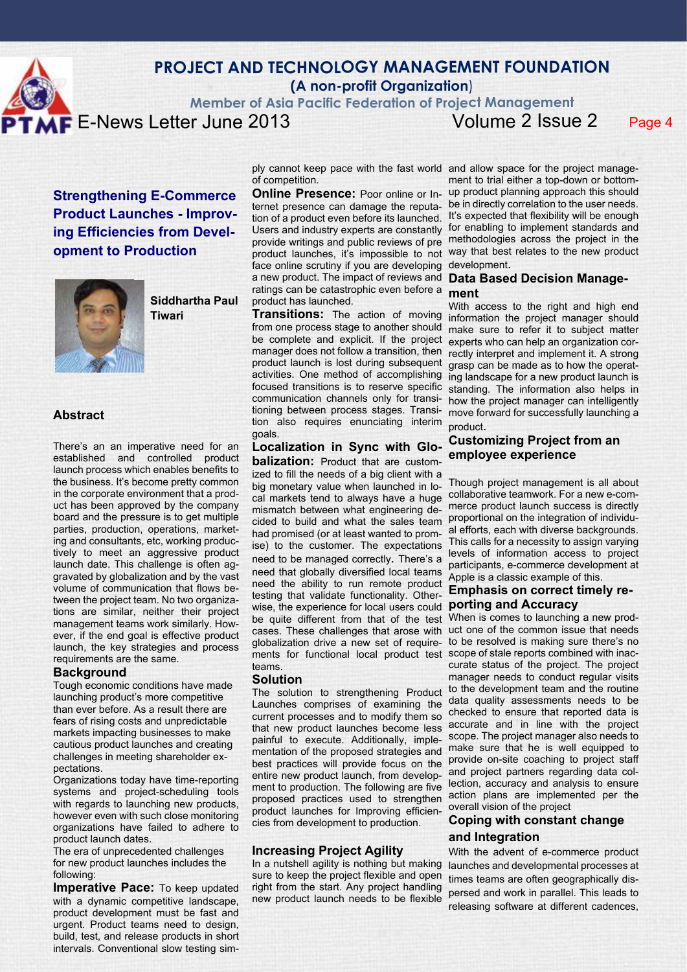

### **PROJECT AND TECHNOLOGY MANAGEMENT FOUNDATION (A non-profit Organization**)

**Member of Asia Pacific Federation of Project Management**

**E**-News Letter June 2013 Volume 2 Issue 2 Page 4

**Strengthening E-Commerce Product Launches - Improving Efficiencies from Development to Production**



**Siddhartha Paul Tiwari**

#### **Abstract**

There's an an imperative need for an established and controlled product launch process which enables benefits to the business. It's become pretty common in the corporate environment that a product has been approved by the company board and the pressure is to get multiple parties, production, operations, marketing and consultants, etc, working productively to meet an aggressive product launch date. This challenge is often aggravated by globalization and by the vast volume of communication that flows between the project team. No two organizations are similar, neither their project management teams work similarly. However, if the end goal is effective product launch, the key strategies and process requirements are the same.

#### **Background**

Tough economic conditions have made launching product's more competitive than ever before. As a result there are fears of rising costs and unpredictable markets impacting businesses to make cautious product launches and creating challenges in meeting shareholder expectations.

Organizations today have time-reporting systems and project-scheduling tools with regards to launching new products. however even with such close monitoring organizations have failed to adhere to product launch dates.

The era of unprecedented challenges for new product launches includes the following:

**Imperative Pace:** To keep updated with a dynamic competitive landscape, product development must be fast and urgent. Product teams need to design, build, test, and release products in short intervals. Conventional slow testing simof competition.

**Online Presence:** Poor online or Internet presence can damage the reputation of a product even before its launched. Users and industry experts are constantly for enabling to implement standards and provide writings and public reviews of pre methodologies across the project in the product launches, it's impossible to not way that best relates to the new product face online scrutiny if you are developing a new product. The impact of reviews and ratings can be catastrophic even before a product has launched.

**Transitions:** The action of moving from one process stage to another should be complete and explicit. If the project manager does not follow a transition, then product launch is lost during subsequent activities. One method of accomplishing focused transitions is to reserve specific communication channels only for transitioning between process stages. Transition also requires enunciating interim goals.

#### **Localization in Sync with Glo-**

**balization:** Product that are customized to fill the needs of a big client with a big monetary value when launched in local markets tend to always have a huge mismatch between what engineering decided to build and what the sales team had promised (or at least wanted to promise) to the customer. The expectations

need to be managed correctly. There's a need that globally diversified local teams need the ability to run remote product testing that validate functionality. Otherwise, the experience for local users could **porting and Accuracy** be quite different from that of the test cases. These challenges that arose with uct one of the common issue that needs globalization drive a new set of requirements for functional local product test scope of stale reports combined with inacteams.

#### **Solution**

Launches comprises of examining the current processes and to modify them so that new product launches become less painful to execute. Additionally, implementation of the proposed strategies and best practices will provide focus on the provide on-site coaching to project staff entire new product launch, from development to production. The following are five proposed practices used to strengthen product launches for Improving efficiencies from development to production.

#### **Increasing Project Agility**

In a nutshell agility is nothing but making sure to keep the project flexible and open right from the start. Any project handling new product launch needs to be flexible

ply cannot keep pace with the fast world and allow space for the project management to trial either a top-down or bottomup product planning approach this should be in directly correlation to the user needs. It's expected that flexibility will be enough development.

#### **Data Based Decision Management**

With access to the right and high end information the project manager should make sure to refer it to subject matter experts who can help an organization correctly interpret and implement it. A strong grasp can be made as to how the operating landscape for a new product launch is standing. The information also helps in how the project manager can intelligently move forward for successfully launching a product.

#### **Customizing Project from an employee experience**

Though project management is all about collaborative teamwork. For a new e-commerce product launch success is directly proportional on the integration of individual efforts, each with diverse backgrounds. This calls for a necessity to assign varying levels of information access to project participants, e-commerce development at Apple is a classic example of this.

# **Emphasis on correct timely re-**

The solution to strengthening Product to the development team and the routine When is comes to launching a new prodto be resolved is making sure there's no curate status of the project. The project manager needs to conduct regular visits data quality assessments needs to be checked to ensure that reported data is accurate and in line with the project scope. The project manager also needs to make sure that he is well equipped to and project partners regarding data collection, accuracy and analysis to ensure action plans are implemented per the overall vision of the project

#### **Coping with constant change and Integration**

With the advent of e-commerce product launches and developmental processes at times teams are often geographically dispersed and work in parallel. This leads to releasing software at different cadences,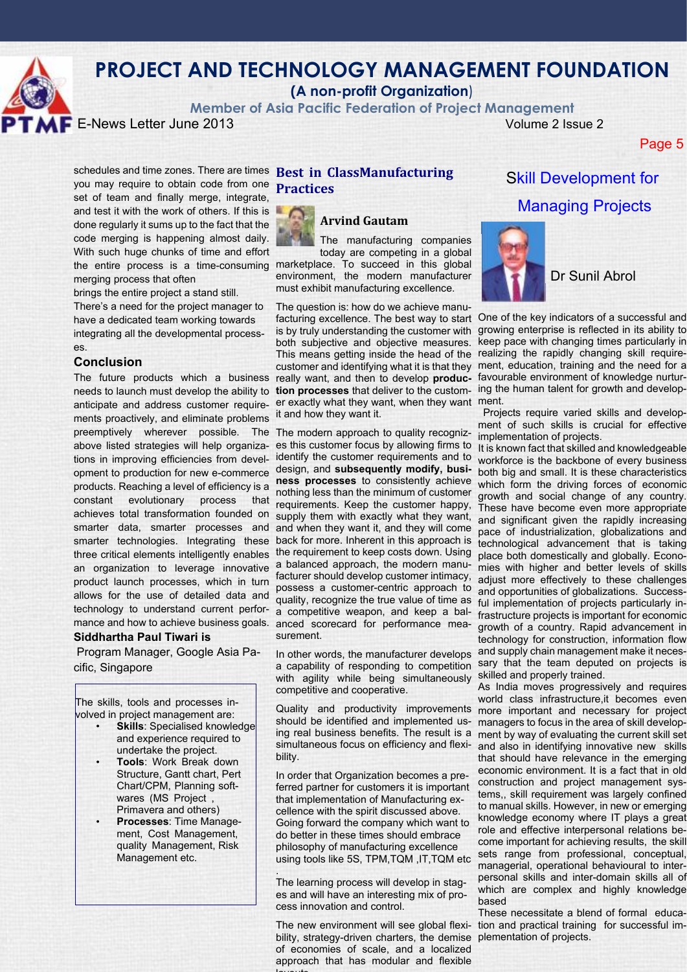

**(A non-profit Organization**)

**Member of Asia Pacific Federation of Project Management**

**E**-News Letter June 2013 Volume 2 Issue 2

Page 5

schedules and time zones. There are times **Best in ClassManufacturing** you may require to obtain code from one **Practices** set of team and finally merge, integrate, and test it with the work of others. If this is done regularly it sums up to the fact that the code merging is happening almost daily. With such huge chunks of time and effort the entire process is a time-consuming marketplace. To succeed in this global merging process that often

brings the entire project a stand still.

There's a need for the project manager to have a dedicated team working towards integrating all the developmental processes.

#### **Conclusion**

ments proactively, and eliminate problems it and how they want it. preemptively wherever possible. The The modern approach to quality recogniztions in improving efficiencies from develproducts. Reaching a level of efficiency is a constant evolutionary process that achieves total transformation founded on smarter data, smarter processes and an organization to leverage innovative product launch processes, which in turn allows for the use of detailed data and technology to understand current perfor-

#### **Siddhartha Paul Tiwari is**

 Program Manager, Google Asia Pacific, Singapore

The skills, tools and processes involved in project management are:

- **Skills:** Specialised knowledge and experience required to undertake the project.
- **Tools**: Work Break down Structure, Gantt chart, Pert Chart/CPM, Planning softwares (MS Project , Primavera and others)
- **Processes**: Time Management, Cost Management, quality Management, Risk Management etc.



#### **Arvind Gautam**

The manufacturing companies today are competing in a global environment, the modern manufacturer must exhibit manufacturing excellence.

anticipate and address customer require-er exactly what they want, when they want ment. The question is: how do we achieve manuis by truly understanding the customer with both subjective and objective measures.

above listed strategies will help organiza-es this customer focus by allowing firms to opment to production for new e-commerce design, and **subsequently modify, busi**smarter technologies. Integrating these back for more. Inherent in this approach is mance and how to achieve business goals. anced scorecard for performance meaidentify the customer requirements and to **ness processes** to consistently achieve nothing less than the minimum of customer requirements. Keep the customer happy, supply them with exactly what they want, and when they want it, and they will come a balanced approach, the modern manufacturer should develop customer intimacy, possess a customer-centric approach to quality, recognize the true value of time as surement.

> with agility while being simultaneously skilled and properly trained. competitive and cooperative.

bility.

In order that Organization becomes a preferred partner for customers it is important that implementation of Manufacturing excellence with the spirit discussed above. Going forward the company which want to do better in these times should embrace philosophy of manufacturing excellence using tools like 5S, TPM,TQM ,IT,TQM etc

. The learning process will develop in stages and will have an interesting mix of process innovation and control.

bility, strategy-driven charters, the demise plementation of projects. of economies of scale, and a localized approach that has modular and flexible layon de

## Skill Development for Managing Projects



Dr Sunil Abrol

The future products which a business really want, and then to develop **produc-** favourable environment of knowledge nurturneeds to launch must develop the ability to **tion processes** that deliver to the custom- ing the human talent for growth and developfacturing excellence. The best way to start One of the key indicators of a successful and This means getting inside the head of the realizing the rapidly changing skill requirecustomer and identifying what it is that they ment, education, training and the need for a growing enterprise is reflected in its ability to keep pace with changing times particularly in

 Projects require varied skills and development of such skills is crucial for effective implementation of projects.

three critical elements intelligently enables the requirement to keep costs down. Using place both domestically and globally. Econoa competitive weapon, and keep a bal-frastructure projects is important for economic In other words, the manufacturer develops and supply chain management make it necesa capability of responding to competition sary that the team deputed on projects is It is known fact that skilled and knowledgeable workforce is the backbone of every business both big and small. It is these characteristics which form the driving forces of economic growth and social change of any country. These have become even more appropriate and significant given the rapidly increasing pace of industrialization, globalizations and technological advancement that is taking mies with higher and better levels of skills adjust more effectively to these challenges and opportunities of globalizations. Successful implementation of projects particularly ingrowth of a country. Rapid advancement in technology for construction, information flow

> Quality and productivity improvements more important and necessary for project should be identified and implemented us-managers to focus in the area of skill developing real business benefits. The result is a ment by way of evaluating the current skill set simultaneous focus on efficiency and flexi-and also in identifying innovative new skills As India moves progressively and requires world class infrastructure,it becomes even that should have relevance in the emerging economic environment. It is a fact that in old construction and project management systems,, skill requirement was largely confined to manual skills. However, in new or emerging knowledge economy where IT plays a great role and effective interpersonal relations become important for achieving results, the skill sets range from professional, conceptual, managerial, operational behavioural to interpersonal skills and inter-domain skills all of which are complex and highly knowledge based

> The new environment will see global flexi-tion and practical training for successful im-These necessitate a blend of formal educa-